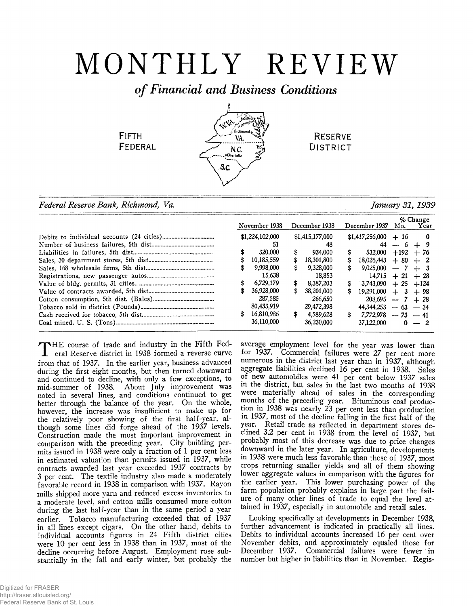# MONTHLY REVIEW

## *o f Financial and Business Conditions*

AVA)

g áltimo

VA N.C. ·Charlott S.C.

**FIFTH FEDERAL** 

**RESERVE** DISTRICT

*Federal Reserve Bank, Richmond, Va. January 31,1939*

|    |                 |     |                 |     |                         |              | % Change |
|----|-----------------|-----|-----------------|-----|-------------------------|--------------|----------|
|    | November 1938   |     | December 1938   |     | December 1937 Mo.       |              | Year     |
|    | \$1,224,102,000 |     | \$1,415,177,000 |     | $$1,417,256,000 + 16$   |              | 0        |
|    | 51              |     | 48              |     |                         | $44 - 6 + 9$ |          |
|    | 320,000         | \$  | 934.000         | \$  | 532.000                 | $+192 + 76$  |          |
|    | 10,185,559      | \$  | 18.301.800      | \$  | $18,026,443 + 80 + 2$   |              |          |
|    | 9.998.000       | \$  | 9.328,000       | S.  | $9,025,000 - 7 + 3$     |              |          |
|    | 15,638          |     | 18.853          |     | $14,715 + 21 + 28$      |              |          |
|    | 6,729,179       | \$  | 8,387,203       | \$  | $3,743,090 + 25 + 124$  |              |          |
|    | 36.928.000      | \$  | 38.201.000      | \$  | $19.291,000 + 3 + 98$   |              |          |
|    | 287.585         |     | 266.650         |     | $208,695$ - 7 + 28      |              |          |
|    | 80,433,919      |     | 29,472,398      |     | $44,344,253 - 63 - 34$  |              |          |
| \$ | 16,810,986      | \$. | 4.589.628       | \$. | $7.772.978$ - $73$ - 41 |              |          |
|    | 36,110,000      |     | 36,230,000      |     | 37,122,000              |              | $0 - 2$  |
|    |                 |     |                 |     |                         |              |          |

THE course of trade and industry in the Fitth Federal Reserve district in 1938 formed a reverse curve  $\blacktriangleright$ HE course of trade and industry in the Fifth Fedfrom that of 1937. In the earlier year, business advanced during the first eight months, but then turned downward and continued to decline, with only a few exceptions, to mid-summer of 1938. About July improvement was noted in several lines, and conditions continued to get better through the balance of the year. On the whole, however, the increase was insufficient to make up for the relatively poor showing of the first half-year, although some lines did forge ahead of the 1937 levels. Construction made the most important improvement in comparison with the preceding year. City building permits issued in 1938 were only a fraction of 1 per cent less in estimated valuation than permits issued in 1937, while contracts awarded last year exceeded 1937 contracts by 3 per cent. The textile industry also made a moderately favorable record in 1938 in comparison with 1937. Rayon mills shipped more yarn and reduced excess inventories to a moderate level, and cotton mills consumed more cotton during the last half-year than in the same period a year earlier. Tobacco manufacturing exceeded that of 1937 in all lines except cigars. On the other hand, debits to individual accounts figures in 24 Fifth district cities were 10 per cent less in 1938 than in 1937, most of the decline occurring before August. Employment rose substantially in the fall and early winter, but probably the

average employment level for the year was lower than for 1937. Commercial failures were 27 per cent more numerous in the district last year than in 1937, although aggregate liabilities declined 16 per cent in 1938. Sales of new automobiles were 41 per cent below 1937 sales in the district, but sales in the last two months of 1938 were materially ahead of sales in the corresponding months of the preceding year. Bituminous coal production in 1938 was nearly 23 per cent less than production in 1937, most of the decline falling in the first half of the year. Retail trade as reflected in department stores declined 3.2 per cent in 1938 from the level of 1937, but probably most of this decrease was due to price changes downward in the later year. In agriculture, developments in 1938 were much less favorable than those of 1937, most crops returning smaller yields and all of them showing lower aggregate values in comparison with the figures for the earlier year. This lower purchasing power of the farm population probably explains in large part the failure of many other lines of trade to equal the level attained in 1937, especially in automobile and retail sales.

Looking specifically at developments in December 1938, further advancement is indicated in practically all lines. Debits to individual accounts increased 16 per cent over November debits, and approximately equaled those for December 1937. Commercial failures were fewer in number but higher in liabilities than in November. Regis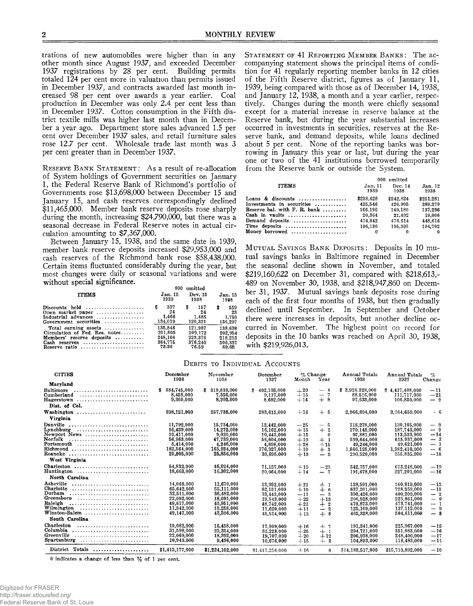trations of new automobiles were higher than in any other month since August 1937, and exceeded December 1937 registrations by 28 per cent. Building permits totaled 124 per cent more in valuation than permits issued in December 1937, and contracts awarded last month increased 98 per cent over awards a year earlier. Coal production in December was only 2.4 per cent less than in December 1937. Cotton consumption in the Fifth district textile mills was higher last month than in December a year ago. Department store sales advanced 1.5 per cent over December 1937 sales, and retail furniture sales rose 12.7 per cent. Wholesale trade last month was 3 per cent greater than in December 1937.

RESERVE BANK STATEMENT: As a result of re-allocation of System holdings of Government securities on January 1, the Federal Reserve Bank of Richmond's portfolio of Governments rose \$13,698,000 between December 15 and January 15, and cash reserves correspondingly declined \$11,465,000. Member bank reserve deposits rose sharply during the month, increasing \$24,790,000, but there was a seasonal decrease in Federal Reserve notes in actual circulation amounting to \$7,367,000.

Between January 15, 1938, and the same date in 1939, member bank reserve deposits increased \$29,953,000 and cash reserves of the Richmond bank rose \$58,438,000. Certain items fluctuated considerably during the year, but most changes were daily or seasonal variations and were without special significance.

|                                                                                                                                                 | omitted<br>000                     |                                    |                                    |  |  |
|-------------------------------------------------------------------------------------------------------------------------------------------------|------------------------------------|------------------------------------|------------------------------------|--|--|
| <b>ITEMS</b>                                                                                                                                    | Jan. 15                            | Dev. 15                            | Jan. 15                            |  |  |
|                                                                                                                                                 | 1939                               | 1938                               | 1928                               |  |  |
| Discounts held<br>Open market paper $\ldots \ldots \ldots \ldots$<br>Industrial advances $\ldots \ldots \ldots \ldots$<br>Government securities | 337<br>s<br>24<br>1,466<br>134,019 | s<br>157<br>24<br>1.485<br>120,321 | 559<br>s<br>23<br>1,759<br>136.297 |  |  |
| Total earning assets $\ldots$ ,,,,,,,,,,,,                                                                                                      | 135,846                            | 121.987                            | 138,638                            |  |  |
| Circulation of Fed. Res. notes                                                                                                                  | 201.805                            | 209.172                            | 202.954                            |  |  |
| Members' reserve deposits                                                                                                                       | 248.166                            | 223.376                            | 218.213                            |  |  |
| Cash reserves                                                                                                                                   | 364.775                            | 376.240                            | 306.337                            |  |  |
| Reserve ratio                                                                                                                                   | 73.36                              | 76.59                              | 69.68                              |  |  |

**STATEMENT OF 41 REPORTING MEMBER BANKS: The ac**companying statement shows the principal items of condition for 41 regularly reporting member banks in 12 cities of the Fifth Reserve district, figures as of January 11, 1939, being compared with those as of December 14, 1938, and January 12, 1938, a month and a year earlier, respectively. Changes during the month were chiefly seasonal except for a material increase in reserve balance at the Reserve bank, but during the year substantial increases occurred in investments in securities, reserves at the Reserve bank, and demand deposits, while loans declined about 5 per cent. None of the reporting banks was borrowing in January this year or last, but during the year one or two of the 41 institutions borrowed temporarily from the Reserve bank or outside the System.

|                                    | 000 omitted     |                 |                |  |  |  |
|------------------------------------|-----------------|-----------------|----------------|--|--|--|
| <b>ITEMS</b>                       | Jan. 11<br>1939 | Dec. 14<br>1938 | Jan.12<br>1938 |  |  |  |
| Loans & discounts                  | \$238,628       | \$242.824       | \$251.281      |  |  |  |
| Investments in securities          | 425.546         | 426.905         | 389,379        |  |  |  |
| Reserve bal, with $F$ , $R$ , bank | 166.196         | 149.180         | 137.296        |  |  |  |
| Cash in vaults                     | 20,364          | 21.492          | 19.006         |  |  |  |
| Demand deposits                    | 474.842         | 476.614         | 448.616        |  |  |  |
| Time deposits                      | 196.136         | 195.305         | 194.702        |  |  |  |
| Money borrowed                     | $\Omega$        |                 | $\Omega$       |  |  |  |

MUTUAL SAVINGS BANK DEPOSITS: Deposits in 10 mutual savings banks in Baltimore regained in December the seasonal decline shown in November, and totaled \$219,160,622 on December 31, compared with \$218,613,-489 on November 30, 1938, and \$218,947,860 on December 31, 1937. Mutual savings bank deposits rose during each of the first four months of 1938, but then gradually declined until September. In September and October there were increases in deposits, but another decline occurred in November. The highest point on record for deposits in the 10 banks was reached on April 30, 1938, with \$219,926,013.

## **DEBITS TO INDIVIDUAL ACCOUNTS**

| <b>CITIES</b>                                                                               | December<br>1938                                                                               | November<br>1938                                                                               | December<br>1937                                                                               | % Change<br>Month                                           | Year                                                                      | Annual Totals<br>1938                                                                                 | Annual Totals<br>1937                                                                                  | $\%$<br>Change                                                                   |
|---------------------------------------------------------------------------------------------|------------------------------------------------------------------------------------------------|------------------------------------------------------------------------------------------------|------------------------------------------------------------------------------------------------|-------------------------------------------------------------|---------------------------------------------------------------------------|-------------------------------------------------------------------------------------------------------|--------------------------------------------------------------------------------------------------------|----------------------------------------------------------------------------------|
| Maryland                                                                                    |                                                                                                |                                                                                                |                                                                                                |                                                             |                                                                           |                                                                                                       |                                                                                                        |                                                                                  |
| <b>Baltimore</b><br>Cumberland<br>Hagerstown<br>Dist. of Col.                               | 384,745,000<br>8,458,000<br>9,360,000                                                          | 319,818,000<br>s.<br>7.356.000<br>8.203.000                                                    | 402,105,000<br>s.<br>9,117,000<br>8.682.000                                                    | $+20$<br>$+15$<br>$+14$                                     | $-4$<br>$-7$<br>$+8$                                                      | \$3,926,328,000<br>88,516,000<br>97.633.000                                                           | \$4.417.408.000<br>111.717.000<br>106,830,000                                                          | $-11$<br>$-21$<br>$-9$                                                           |
|                                                                                             |                                                                                                |                                                                                                |                                                                                                |                                                             |                                                                           |                                                                                                       |                                                                                                        |                                                                                  |
| Washington<br><b>Virginia</b>                                                               | 298,121,000                                                                                    | 257,738,000                                                                                    | 283,615,000                                                                                    | $+16$                                                       | $+5$                                                                      | 2.966.804.000                                                                                         | 3.164.659.000                                                                                          | - 6                                                                              |
| Danville<br>Lynchburg<br>Newport News<br>Norfolk<br>Portsmouth<br>Richmond<br>Roanoke       | 11,792,000<br>16.439.000<br>10.411.000<br>56.963.000<br>5,414,000<br>182,564,000<br>29.805.000 | 15,734,000<br>14,273,000<br>9.020.000<br>47.739.000<br>4,246,000<br>165,934,000<br>25,856,000  | 12,442,000<br>16,162,000<br>10.443.000<br>56,604,000<br>4,698,000<br>176.927.000<br>30.695.000 | $-25$<br>$+15$<br>$+15$<br>$+19$<br>$+28$<br>$+10$<br>$+13$ | $-5$<br>$+2$<br>$\boldsymbol{0}$<br>$+1$<br>$-15$<br>$+3$<br>— 5          | 118,278,000<br>170.148.000<br>97.881.000<br>599,644,000<br>49,246,000<br>1,866,125,000<br>290.520.000 | 130.105.000<br>187.743.000<br>113.533.000<br>615.937.000<br>49.621.000<br>1,982,410,000<br>355.835,000 | - 9<br>$-9$<br>$-14$<br>$-3$<br>$-1$<br>— 6<br>$-18$                             |
| West Virginia                                                                               |                                                                                                |                                                                                                |                                                                                                |                                                             |                                                                           |                                                                                                       |                                                                                                        |                                                                                  |
| Charleston<br>Huntington                                                                    | 54.832.000<br>18,663,000                                                                       | 46,024,000<br>16.302.000                                                                       | 71,157,000<br>20,064,000                                                                       | $+19$<br>$+14$                                              | $-23$<br>$-7$                                                             | 542,757,000<br>191.678.000                                                                            | 673,248,000<br>227.201.000                                                                             | $-19$<br>$-16$                                                                   |
| North Carolina                                                                              |                                                                                                |                                                                                                |                                                                                                |                                                             |                                                                           |                                                                                                       |                                                                                                        |                                                                                  |
| Asheville<br>Charlotte<br>Durham<br>Greensboro<br>Raleigh<br>Wilmington<br>$W$ inston-Salem | 14.068.000<br>65,642,000<br>32.511.000<br>22.092.000<br>49.617.000<br>11,342,000<br>49.147.000 | 11.670,000<br>55.111.000<br>36.482,000<br>18.091.000<br>40.951.000<br>10.258.000<br>43.596.000 | 13,992,000<br>62.151.000<br>33,443,000<br>19.543.000<br>48.742.000<br>11,620,000<br>45.534.000 | $+21$<br>$+19$<br>$-11$<br>$+22$<br>$+21$<br>$+11$<br>$+13$ | $+1$<br>$+$<br>-6<br>$-3$<br>$+13$<br>$+2$<br>$\overline{2}$<br>-<br>$+8$ | 139.591.000<br>637,201,000<br>390.426.000<br>206,528,000<br>470.873.000<br>125,109,000<br>465.338.000 | 160.819.000<br>728,359,000<br>400.209.000<br>225,861,000<br>473,741,000<br>137.112.000<br>504.611.000  | $-13$<br>$-13$<br>$-2$<br>-9<br>$\overline{\phantom{0}}$<br>$-1$<br>$-9$<br>$-8$ |
| South Carolina                                                                              |                                                                                                |                                                                                                |                                                                                                |                                                             |                                                                           |                                                                                                       |                                                                                                        |                                                                                  |
| Charleston<br>Columbia<br>Greenville<br>$Spartanhurg$                                       | 19.082.000<br>31.598.000<br>22.069.000<br>10,943,000                                           | 16,458,000<br>25,354,000<br>18.392.000<br>9.496.000                                            | 17,909,000<br>31.228.000<br>19,707,000<br>10,676,000                                           | $+16$<br>$-25$<br>$+20$<br>$+15$                            | $+7$<br>$+1$<br>$+12$<br>$+3$                                             | 191.341.000<br>294.721.000<br>206.938.000<br>104.893.000                                              | 225,967,000<br>351,083,000<br>248,400,000<br>118,483,000                                               | $-15$<br>$-16$<br>$-17$<br>$-11$                                                 |
| District Totals                                                                             | \$1,415,177,000                                                                                | \$1,224,102,000                                                                                | \$1,417,256,000                                                                                | $+16$                                                       | $\Omega$                                                                  | \$14,188,517,000                                                                                      | \$15,710,892,000                                                                                       | $-10$                                                                            |

**0 indicates a change of less than** *y2* **of 1 per cent.**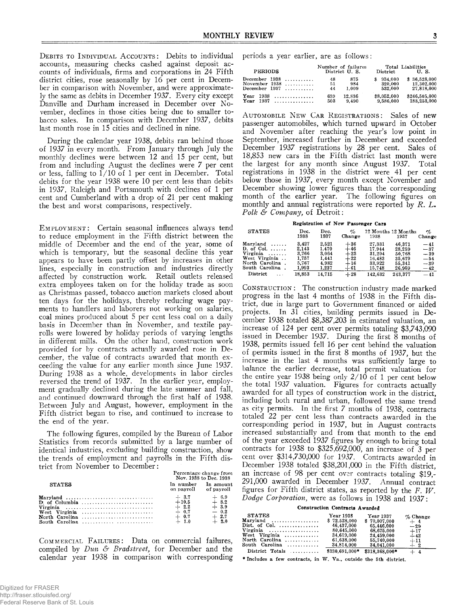**DEBITS TO INDIVIDUAL ACCOUNTS:** Debits to individual accounts, measuring checks cashed against deposit accounts of individuals, firms and corporations in 24 Fifth district cities, rose seasonally by 16 per cent in December in comparison with November, and were approximately the same as debits in December 1937. Every city except Danville and Durham increased in December over November, declines in those cities being due to smaller tobacco sales. In comparison with December 1937, debits last month rose in 15 cities and declined in nine.

During the calendar year 1938, debits ran behind those of 1937 in every month. From January through July the monthly declines were between 12 and 15 per cent, but from and including August the declines were 7 per cent or less, falling to  $1/10$  of 1 per cent in December. Total debits for the year 1938 were 10 per cent less than debits in 1937, Raleigh and Portsmouth with declines of 1 per cent and Cumberland with a drop of 21 per cent making the best and worst comparisons, respectively.

EMPLOYMENT: Certain seasonal influences always tend to reduce employment in the Fifth district between the middle of December and the end of the year, some of which is temporary, but the seasonal decline this year appears to have been partly offset by increases in other lines, especially in construction and industries directly affected by construction work. Retail outlets released extra employees taken on for the holiday trade as soon as Christmas passed, tobacco auction markets closed about ten days for the holidays, thereby reducing wage payments to handlers and laborers not working on salaries, coal mines produced about 5 per cent less coal on a daily basis in December than in November, and textile payrolls were lowered by holiday periods of varying lengths in different mills. On the other hand, construction work provided for by contracts actually awarded rose in December, the value of contracts awarded that month exceeding the value for any earlier month since June 1937. During 1938 as a whole, developments in labor circles reversed the trend of 1937. In the earlier year, employment gradually declined during the late summer and fall, and continued downward through the first half of 1938. Between July and August, however, employment in the Fifth district began to rise, and continued to increase to the end of the year.

The following figures, compiled by the Bureau of Labor Statistics from records submitted by a large number of identical industries, excluding building construction, show the trends of employment and payrolls in the Fifth district from November to December:

|                | Percentage change from<br>Nov. 1938 to Dec. 1938 |           |  |  |
|----------------|--------------------------------------------------|-----------|--|--|
| <b>STATES</b>  | In number<br>on payroll of payroll               | In amount |  |  |
|                |                                                  | $+ 6.9$   |  |  |
|                |                                                  | $+8.2$    |  |  |
| Virginia       | $+2.2$                                           | $+3.9$    |  |  |
| West Virginia  | $-0.7$                                           | $-0.2$    |  |  |
| North Carolina | $+ 0.7$                                          | $+2.7$    |  |  |
|                | $+ 1.0$                                          | $+2.0$    |  |  |

COMMERCIAL FAILURES: Data on commercial failures, compiled by *Dun & Bradstreet*, for December and the calendar year 1938 in comparison with corresponding periods a year earlier, are as follows:

| <b>PERIODS</b>                                      |                | Number of failures<br>District U.S. | District                      | Total Liabilities<br>U.S.                |
|-----------------------------------------------------|----------------|-------------------------------------|-------------------------------|------------------------------------------|
| December $1938$<br>November $1938$<br>December 1937 | 48<br>51<br>44 | 875<br>984<br>1.009                 | 934.000<br>320,000<br>532.000 | \$36,528,000<br>12,302,000<br>27,818,000 |
| Year<br>$1938$<br>Year<br>1937<br>.                 | 639<br>503     | 12.836<br>9.490                     | \$8,052,000<br>9.586.000      | \$246,505,000<br>183,253,000             |

AUTOMOBILE NEW CAR REGISTRATIONS: Sales of new passenger automobiles, which turned upward in October and November after reaching the year's low point in September, increased further in December and exceeded December 1937 registrations by 28 per cent. Sales of 18,853 new cars in the Fifth district last month were the largest for any month since August 1937. Total registrations in 1938 in the district were 41 per cent below those in 1937, every month except November and December showing lower figures than the corresponding month of the earlier year. The following figures on monthly and annual registrations were reported by *R. L. Polk & Company,* of Detroit:

## **Registration of New Passenger Cars**

| <b>STATES</b>          | Dec.<br>1938 | Dec.<br>1937 | $\sigma$<br>Change | 1938    | 12 Months 12 Months<br>1937 | $\sigma_{\!\scriptscriptstyle\! C}$<br>Change |
|------------------------|--------------|--------------|--------------------|---------|-----------------------------|-----------------------------------------------|
| Maryland               | 3.427        | 2.521        | $+36$              | 27,331  | 46.371                      | $-41$                                         |
| D. of Col.             | 2,143        | 1.470        | $+46$              | 17.944  | 28.259                      | $-37$                                         |
| $Virginia \dots \dots$ | 3.766        | 3.064        | $+23$              | 31.204  | 50.768                      | $-39$                                         |
| West Virginia          | 1,757        | 1,441        | $+22$              | 16.483  | 35,679                      | $-54$                                         |
| North Carolina.        | 5.767        | 4.982        | $+16$              | 33.922  | 55.341                      | $-39$                                         |
| South Carolina.        | 1,993        | 1,237        | $+61$              | 15,748  | 26,959                      | $-42$                                         |
| District               | 18.853       | 14.715       | $+28$              | 142.632 | 243.377                     | $-41$                                         |

**CONSTRUCTION:** The construction industry made marked progress in the last 4 months of 1938 in the Fifth district, due in large part to Government financed or aided projects. In 31 cities, building permits issued in December 1938 totaled \$8,387,203 in estimated valuation, an increase of 124 per cent over permits totaling \$3,743,090 issued in December 1937. During the first  $\bar{8}$  months of 1938, permits issued fell 16 per cent behind the valuation of permits issued in the first 8 months of 1937, but the increase in the last 4 months was sufficiently large to balance the earlier decrease, total permit valuation for the entire year 1938 being only  $2/10$  of 1 per cent below the total 1937 valuation. Figures for contracts actually awarded for all types of construction work in the district, including both rural and urban, followed the same trend as city permits. In the first 7 months of 1938, contracts totaled 22 per cent less than contracts awarded in the corresponding period in 1937, but in August contracts increased substantially and from that month to the end of the year exceeded 1937 figures by enough to bring total contracts for 1938 to \$325,692,000, an increase of 3 per cent over \$314,730,000 for 1937. Contracts awarded in December 1938 totaled \$38,201,000 in the Fifth district, an increase of 98 per cent over contracts totaling \$19,- 291,000 awarded in December 1937. Annual contract figures for Fifth district states, as reported by the *F. W . Dodge Corporation,* were as follows in 1938 and 1937:

**Construction Contracts Awarded**

| <b>STATES</b>                                    | Year 1938      | Year 1937      | $\%$ Change |
|--------------------------------------------------|----------------|----------------|-------------|
| $Marvland$                                       | \$72.528.000   | \$70,007,000   | $+4$        |
| $Dist.$ of Col. $\ldots\ldots\ldots\ldots\ldots$ | 46.437.000     | 65.446.000     | $-29$       |
| Virginia                                         | 80,645,000     | 68.675.000     | $+17$       |
| $West$ Virginia                                  | 34.619.000     | 24,459,000     | $-42$       |
| North Carolina                                   | 61,638,000     | 55,740,000     | $+11$       |
| $South$ Carolina $\ldots \ldots \ldots$          | 34,814,000     | 34.041.000     | $+2$        |
| District Totals $\ldots$                         | \$330.691.000* | \$318,368,000* | $+4$        |

**\* Includes a few contracts, in W . Va., outside the 5th district.**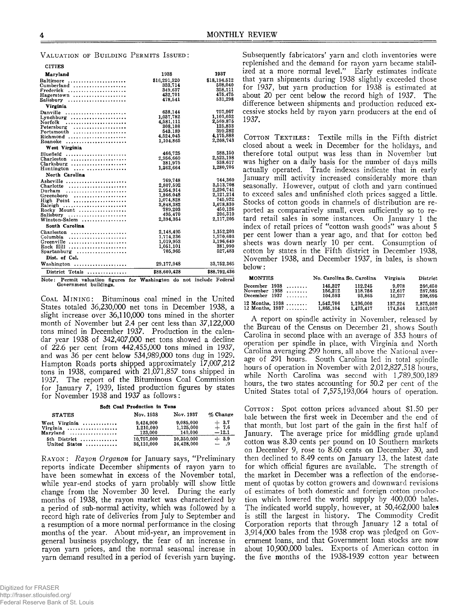**VALUATION OF BUILDING PERMITS ISSUED:** 

| <b>CITIES</b>              |              |              |
|----------------------------|--------------|--------------|
| <b>Maryland</b>            | 1938         | 1937         |
| Baltimore                  | \$16,291,320 | \$18,194,512 |
| $Cumberland$               | 333,714      | 508.040      |
| Frederick                  | 349,637      | 358,111      |
| Hagerstown<br>. <i>.</i> . | 432.701      | 475.475      |
| Salisbury                  | 478.541      | 531.298      |
| Virginia                   |              |              |
|                            |              | 757,967      |
| Danville                   | 638.144      |              |
|                            | 1.037.782    | 1,101,032    |
| Norfolk                    | 4.581.111    | 2,569,875    |
| Petersburg<br>.            | 308.108      | 125,833      |
| Portsmouth                 | 543.189      | 399.282      |
|                            | 4,524,045    | 4,175,888    |
| Roanoke                    | 1.104.865    | 2.208.743    |
| West Virginia              |              |              |
| Bluefield                  | 466,725      | 588.150      |
| $Charleston$               | 2,956,660    | 2.523,198    |
| $Clarksburg$               | 381,975      | 538.617      |
|                            | 1.362.664    | 1.280,706    |
| $H$ untington              |              |              |
| North Carolina             |              |              |
| Asheville                  | 769,748      | 744,360      |
|                            | 2,807,592    | 3,513,708    |
| Durham                     | 2.954.914    | 2.296,741    |
| Greensboro                 | 1,866,048    | 2,121,214    |
| High Point                 | 1,074,828    | 745.922      |
| Raleigh                    | 3,848,382    | 1,678.830    |
| Rocky Mount                | 789,203      | 450,126      |
|                            | 495,470      | 206,310      |
| Salisbury                  | 2.394.364    | 2.117.205    |
| Winston-Salem              |              |              |
| South Carolina             |              |              |
|                            | 2.148,495    | 1,152,203    |
| Columbia                   | 1.714.236    | 1,570,603    |
| Greenville                 | 1.019.953    | 1,196,649    |
| Rock Hill                  | 1,051,101    | 381.990      |
| Spartanburg<br>.           | 705.965      | 527,483      |
| Dist. of Col.              |              |              |
|                            |              |              |
|                            | 29,177,948   | 33,752,365   |
| District Totals            | \$88,609,428 | \$88,792,436 |

**Note: Permit valuation figures for Washington do not include Fed'eral Government buildings.**

**COAL MINING:** Bituminous coal mined in the United States totaled 36,230,000 net tons in December 1938, a slight increase over 36,110,000 tons mined in the shorter month of November but 2.4 per cent less than  $37,122,000$ tons mined in December 1937. Production in the calendar year 1938 of 342,407,000 net tons showed a decline **o f** 22.6 **per cent fro m** 442,455,000 **tons m ined in** 1937, **and w as** 36 **per cent below** 534,989,000 **tons dug in** 1929. Hampton Roads ports shipped approximately 17,007,212 **tons in** 1938, **com pared w ith** 21,071,857 **tons shipped in** 1937. The report of the Bituminous Coal Commission **for January** 7, 1939, **listed production figures by states** for November 1938 and 1937 as follows:

**Soft Coal Production in Tons STATES Nov. 1938 Nov. 1937** *%* **Change West Virginia ....................... 9,424,000 9,085,000 -|- 3.7**

| West Virginia | <b>3.444,000</b> | <b>U.UOU.UUU</b> | $ \cdots$ |
|---------------|------------------|------------------|-----------|
| Virginia      | 1.210.000        | 1.125.000        | $+7.6$    |
| Maryland      | 123.000          | 140.000          | $-12.1$   |
| 5th District  | 10.757,000       | 10.350.000       | $+3.9$    |
| United States | 36,110,000       | 36.428.000       | $ .9$     |

**RAYON:** *Rayon Organon* for January says, "Preliminary reports indicate December shipments of rayon yarn to have been somewhat in excess of the November total, while year-end stocks of yarn probably will show little change from the November 30 level. During the early months of 1938, the rayon market was characterized by a period of sub-normal activity, which was followed by a record high rate of deliveries from July to September and a resumption of a more normal performance in the closing months of the year. About mid-year, an improvement in general business psychology, the fear of an increase in rayon yarn prices, and the normal seasonal increase in varn demand resulted in a period of feverish yarn buying.

Subsequently fabricators' yarn and cloth inventories were replenished and the demand for rayon yarn became stabilized at a more normal level." Early estimates indicate that yarn shipments during 1938 slightly exceeded those for 1937, but yarn production for 1938 is estimated at about 20 per cent below the record high of 1937. The difference between shipments and production reduced excessive stocks held by rayon yarn producers at the end of 1937.

COTTON TEXTILES: Textile mills in the Fifth district closed about a week in December for the holidays, and therefore total output was less than in November but was higher on a daily basis for the number of days mills actually operated. Trade indexes indicate that in early January mill activity increased considerably more than seasonally. However, output of cloth and yarn continued to exceed sales and unfinished cloth prices sagged a little. Stocks of cotton goods in channels of distribution are reported as comparatively small, even sufficiently so to retard retail sales in some instances. On January 1 the index of retail prices of "cotton wash goods" was about 5 per cent lower than a year ago, and that for cotton bed sheets was down nearly 10 per cent. Consumption of cotton by states in the Fifth district in December 1938, November 1938, and December 1937, in bales, is shown below:

| <b>MONTHS</b>     | No. Carolina So. Carolina |           | Virginia | District  |
|-------------------|---------------------------|-----------|----------|-----------|
| December $1938$   | 145,327                   | 112.245   | 9.078    | 266.650   |
| November $1938$   | 156.212                   | 118,756   | 12.617   | 287.585   |
| December $1937$   | 104.593                   | 93.865    | 10.237   | 208.695   |
| 12 Months, $1938$ | 1.542.706                 | 1.196.000 | 137.224  | 2.875.930 |
| 12 Months, $1937$ | 1.865.104                 | 1,473,417 | 174.546  | 3,513.067 |

A report on spindle activity in November, released by the Bureau of the Census on December 21, shows South Carolina in second place with an average of 353 hours of operation per spindle in place, with Virginia and North Carolina averaging 299 hours, all above the National average of 291 hours. South Carolina led in total spindle hours of operation in November with 2,012,827,518 hours, while North Carolina was second with 1,789,500,189 hours, the two states accounting for 50.2 per cent of the United States total of 7,575,193,064 hours of operation.

COTTON: Spot cotton prices advanced about \$1.50 per bale between the first week in December and the end of that month, but lost part of the gain in the first half of January. The average price for middling grade upland cotton was 8.30 cents per pound on 10 Southern markets on December 9, rose to 8.60 cents on December 30, and then declined to 8.49 cents on January 13, the latest date for which official figures are available. The strength of the market in December was a reflection of the endorsement of quotas by cotton growers and downward revisions of estimates of both domestic and foreign cotton production which lowered the world supply by 400,000 bales. The indicated world supply, however, at 50,462,000 bales is still the largest in history. The Commodity Credit Corporation reports that through January 12 a total of 3,914,000 bales from the 1938 crop was pledged on Government loans, and that Government loan stocks are now about 10,900,000 bales. Exports of American cotton in the five months of the 1938-1939 cotton year between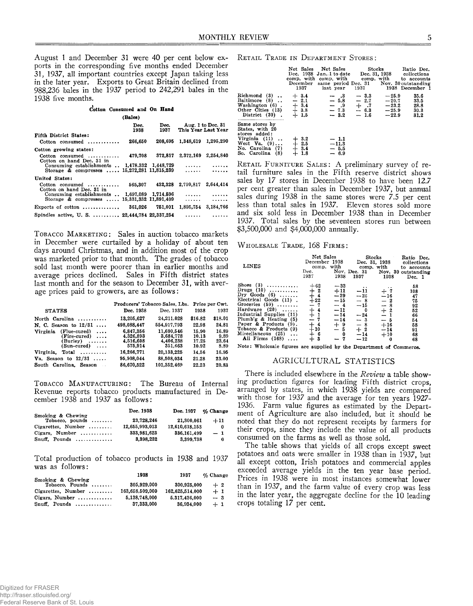August 1 and December 31 were 40 per cent below exports in the corresponding five months ended December 31, 1937, all important countries except Japan taking less in the later year. Exports to Great Britain declined from 988,236 bales in the 1937 period to 242,291 bales in the 1938 five months.

| Cotton Consumed and On Hand                            |              |                                     |                             |                     |
|--------------------------------------------------------|--------------|-------------------------------------|-----------------------------|---------------------|
|                                                        | (Bales)      |                                     |                             |                     |
|                                                        | Dec.<br>1938 | 1937                                | Dec. Aug. 1 to Dec. 31      | This Year Last Year |
| Fifth District States:                                 |              |                                     |                             |                     |
| $Cottom$ consumed $\ldots \ldots \ldots$               | 266,650      |                                     | 208.695 1.348.619 1.295.290 |                     |
| Cotton growing states:                                 |              |                                     |                             |                     |
| $\text{Cottom}$ consumed<br>Cotton on hand Dec. 31 in  |              | 479.708 372.817 2.372.169 2.254.840 |                             |                     |
| Consuming establishments $1,478,332$ $1,448,729$       |              |                                     |                             |                     |
| Storage & compresses $15,272,281$ $11,815,239$ $\dots$ |              |                                     |                             |                     |
| United States:                                         |              |                                     |                             |                     |
| $\text{Cottom}$ consumed<br>Cotton on hand Dec. 31 in  |              | 565.307 432.328 2.799.817 2.644.414 |                             |                     |
| Consuming establishments  1,697,089 1.714.596          |              |                                     |                             |                     |
| Storage & compresses , 15,331,332 11,891,409           |              |                                     |                             |                     |
| Exports of cotton  361.026 751.001                     |              |                                     | 1.895.754                   | 3.184.766           |
| Spindles active, U.S. , 22,444,784 22,337,254          |              |                                     |                             |                     |

TOBACCO MARKETING: Sales in auction tobacco markets in December were curtailed by a holiday of about ten days around Christmas, and in addition most of the crop was marketed prior to that month. The grades of tobacco sold last month were poorer than in earlier months and average prices declined. Sales in Fifth district states last month and for the season to December 31, with average prices paid to growers, are as follows:

|                                                                                                                | Producers' Tobacco Sales, Lbs.                 | Price per Cwt.                                  |                                  |                                |
|----------------------------------------------------------------------------------------------------------------|------------------------------------------------|-------------------------------------------------|----------------------------------|--------------------------------|
| <b>STATES</b>                                                                                                  | Dec. 1938                                      | Dec. 1937                                       | 1938                             | 1937                           |
| North Carolina                                                                                                 | 13,205,627                                     | 24,211,028                                      | \$16.82                          | \$18.01                        |
| N. C. Season to $12/31$                                                                                        | 498,088.447                                    | 554,917,793                                     | 22.98                            | 24.81                          |
| Virginia<br>(Flue-cured)<br>$\cdots$<br>$(Fire-cured) \ldots$<br>$(Burley) \dots \dots$<br>$(Sun-cured) \dots$ | 6.847.356<br>4,326,893<br>4.516.608<br>575,914 | 11.690.546<br>3,684,778<br>4.406.238<br>351.663 | 15.90<br>10.13<br>17.25<br>10.92 | 16.89<br>9.89<br>23.64<br>8.89 |
| $Total$<br>Virginia,                                                                                           | 16,266,771                                     | 20,133,225                                      | 14.56                            | 16.95                          |
| Va. Season to $12/31$                                                                                          | 95.908.044                                     | 88.508.034                                      | 21.28                            | 23.00                          |
| South Carolina. Season<br>$\sim$                                                                               | 86.670.522                                     | 101.352.469                                     | 22.23                            | 20.83                          |

TOBACCO MANUFACTURING: The Bureau of Internal Revenue reports tobacco products manufactured in December 1938 and 1937 as follows:

|                                               | Dec. 1938      | Dec. 1937      | $\%$ Change |
|-----------------------------------------------|----------------|----------------|-------------|
| Smoking & Chewing<br>Tobacco, pounds $\ldots$ | 23.728.246     | 21,300,061     | $+11$       |
| Cigarettes, Number $\dots\dots$               | 12.655.993.013 | 12,610,618.153 | 0           |
| Cigars. Number $\dots\dots\dots$              | 333,981,623    | 336.161.499    | $-1$        |
| $Snuff.$ Pounds                               | 3.398.232      | 3.399.738      | 0           |

Total production of tobacco products in 1938 and 1937 was as follows:

|                                       | 1938            | 1937            | $\%$ Change |
|---------------------------------------|-----------------|-----------------|-------------|
| Smoking & Chewing<br>Tobacco, Pounds  | 305,929.000     | 300.925.000     | $+2$        |
| $Cigarettes$ , Number                 | 163.658.509.000 | 162,625,514.000 | $+1$        |
| Cigars. Number $\dots\dots\dots\dots$ | 5,138,748,000   | 5.317.436.000   | $-3$        |
| $Snuff$ , Pounds                      | 37,333,000      | 36.934.000      | $+1$        |

**RETAIL TRADE IN DEPARTMENT STORES:** 

|                                                                                                                                          |                                                   | Net Sales Net Sales Stocks<br>Dec. 1938 Jan. 1 to date Dec. 31, 1938 collections<br>comp. with comp. with comp. with to accounts<br>December same period Dec. 31 Nov. 30 outstanding<br>1937 hast year 1937 |                            |                               | Ratio Dec.<br>1938 December 1        |
|------------------------------------------------------------------------------------------------------------------------------------------|---------------------------------------------------|-------------------------------------------------------------------------------------------------------------------------------------------------------------------------------------------------------------|----------------------------|-------------------------------|--------------------------------------|
| $Richmond(3)$ .<br>Baltimore (8).<br>Washington (6).<br>Other Cities $(13)$<br>District (30).                                            | $+3.4$<br>$-2.1$<br>$+ 3.4$<br>$+ 3.8$<br>$+ 1.5$ | $-$ .3<br>$-5.8$<br>$=$ $\begin{matrix} .9 & + & .7 & -23.2 \\ -7.3 & - & 6.3 & -25.9 \end{matrix}$<br>$-3.2$                                                                                               | $-3.3$<br>$-2.7$<br>$-1.6$ | $-25.9$<br>$-20.7$<br>$-22.9$ | 35.6<br>33.5<br>28.8<br>30.3<br>31.2 |
| Same stores by<br>States, with 20<br>stores added:<br>Virginia $(11)$ .<br>West $Va. (9) \ldots$<br>No. Carolina (7)<br>So. Carolina (8) | $+$ 3.2<br>+ 2.5<br>$+3.4$<br>+ 1.8               | $-1.1$<br>$-11.3$<br>$-5.5$<br>$-6.9$                                                                                                                                                                       |                            |                               |                                      |

**RETAIL FURNITURE SALES:** A preliminary survey of retail furniture sales in the Fifth reserve district shows sales by 17 stores in December 1938 to have been 12.7 per cent greater than sales in December 1937, but annual sales during 1938 in the same stores were 7.5 per cent less than total sales in 1937. Eleven stores sold more and six sold less in December 1938 than in December 1937. Total sales by the seventeen stores run between \$3,500,000 and \$4,000,000 annually.

## WHOLESALE TRADE, 168 FIRMS:

| LINES                                                                                                                                                                                                                                                                                  | Net Sales<br>December 1938<br>Dec.<br>1937                                           | 1938                                                                                     | Stocks<br>comp. with comp. with<br>1937                                                        | 1938                                                                                  | Ratio Dec.<br>Dec. 31, 1938 collections<br>to accounts<br>Nov. Dec. 31 Nov. 30 outstanding<br>Dec. 1 |
|----------------------------------------------------------------------------------------------------------------------------------------------------------------------------------------------------------------------------------------------------------------------------------------|--------------------------------------------------------------------------------------|------------------------------------------------------------------------------------------|------------------------------------------------------------------------------------------------|---------------------------------------------------------------------------------------|------------------------------------------------------------------------------------------------------|
| Shoes $(3)$<br>Drugs $(10)$<br>Dry Goods $(6)$<br>Electrical Goods (11).<br>Groceries $(59)$<br>Hardware $(20)$<br>Industrial Supplies (11)<br>Plumb'g $\&$ Heating $(5)$<br>Paper & Products $(9)$ .<br>Tobacco & Products (9)<br>Miscellaneous (25)<br>$\cdots$<br>All Firms $(168)$ | $+62$<br>$+2$<br>$+22$<br>- 7<br>$rac{1}{2}$<br>$+4$<br>$+10$<br>- 6<br>$\mathbf{3}$ | $-33$<br>$+11$<br>$-29$<br>$-15$<br>$-4$<br>$-11$<br>$-14$<br>$-14$<br>$+9$<br>$-5$<br>0 | . .<br>$-11$<br>$-26$<br>$-8$<br>$-15$<br>0<br>$-24$<br>$-3$<br>$-8$<br>$+2$<br>$-14$<br>$-12$ | $+7$<br>$-16$<br>$-2$<br>$-8$<br>$+2$<br>$-1$<br>$-5$<br>$+16$<br>$-14$<br>$+10$<br>0 | 58<br>108<br>47<br>75<br>92<br>52<br>66<br>54<br>58<br>91<br>68<br>68                                |

**Note: Wholesale figures are supplied by the Department of Commerce.**

## AGRICULTURAL STATISTICS

There is included elsewhere in the *Review* a table showing production figures for leading Fifth district crops, arranged by states, in which 1938 yields are compared with those for 1937 and the average for ten years 1927- 1936. Farm value figures as estimated by the Department of Agriculture are also included, but it should be noted that they do not represent receipts by farmers for their crops, since they include the value of all products consumed on the farms as well as those sold.

The table shows that yields of all crops except sweet potatoes and oats were smaller in 1938 than in 1937, but all except cotton, Irish potatoes and commercial apples exceeded average yields in the ten year base period. Prices in 1938 were in most instances somewhat lower than in 1937, and the farm value of every crop was less in the later year, the aggregate decline for the 10 leading crops totaling 17 per cent.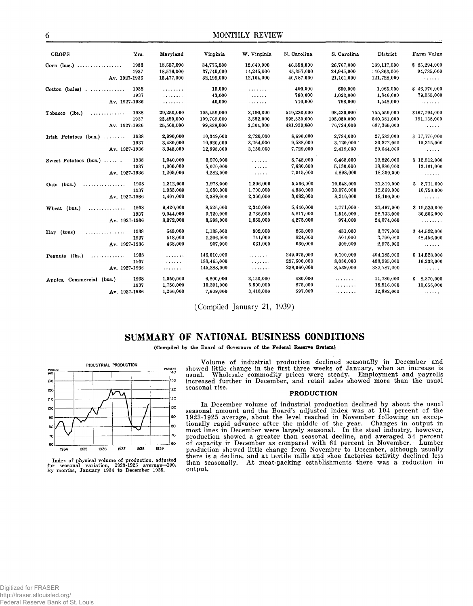| <b>CROPS</b>                                                                                                                                                                                                                                                                                                                                                                                                                                                                             | Yrs. | Maryland     | Virginia    | W. Virginia                                                                                                 | N. Carolina | S. Carolina | District    | Farm Value                                         |
|------------------------------------------------------------------------------------------------------------------------------------------------------------------------------------------------------------------------------------------------------------------------------------------------------------------------------------------------------------------------------------------------------------------------------------------------------------------------------------------|------|--------------|-------------|-------------------------------------------------------------------------------------------------------------|-------------|-------------|-------------|----------------------------------------------------|
| Corn (bus.)                                                                                                                                                                                                                                                                                                                                                                                                                                                                              | 1938 | 18,537,000   | 34,775,000  | 12,640,000                                                                                                  | 46,398,000  | 26,767,000  | 139,117,000 | \$85,294,000                                       |
|                                                                                                                                                                                                                                                                                                                                                                                                                                                                                          | 1937 | 18,576,000   | 37,740,000  | 14,245,000                                                                                                  | 45,357,000  | 24,945,000  | 140,863,000 | 94,735,000                                         |
|                                                                                                                                                                                                                                                                                                                                                                                                                                                                                          |      |              |             |                                                                                                             |             |             |             |                                                    |
| Av. 1927-1936                                                                                                                                                                                                                                                                                                                                                                                                                                                                            |      | 15,477,000   | 32,199,000  | 12,104,000                                                                                                  | 40,787,000  | 21,161,000  | 121,728,000 | .                                                  |
| $Cotton$ (bales)                                                                                                                                                                                                                                                                                                                                                                                                                                                                         | 1938 | .            | 15,000      | .                                                                                                           | 400.000     | 650.000     | 1,065,000   | \$46,970,000                                       |
|                                                                                                                                                                                                                                                                                                                                                                                                                                                                                          | 1937 | . <b>.</b> . | 43,000      | .                                                                                                           | 780,000     | 1,023,000   | 1,846,000   | 79,055,000                                         |
| Av. 1927-1936                                                                                                                                                                                                                                                                                                                                                                                                                                                                            |      | . <b>.</b> . | 40,000      | .                                                                                                           | 710,000     | 798,000     | 1,548,000   | $\sim$ 3 $\sim$ 4 $\sim$ 4 $\sim$                  |
| (lbs.)<br>Tobacco<br>.                                                                                                                                                                                                                                                                                                                                                                                                                                                                   | 1938 | 29,250,000   | 105,459,000 | 3,190,000                                                                                                   | 519,230,000 | 98,430,000  | 755,559,000 | \$167,794,000                                      |
|                                                                                                                                                                                                                                                                                                                                                                                                                                                                                          | 1937 | 23,450,000   | 109,769,000 | 3.552,000                                                                                                   | 595,530,000 | 108.080.000 | 840,381,000 | 191,138,000                                        |
| Av. 1927-1936                                                                                                                                                                                                                                                                                                                                                                                                                                                                            |      | 25,560,000   | 99.838.000  | 3,304,000                                                                                                   | 481,939,000 | 76,724,000  | 687,365,000 | $\sim$ and $\sim$ and $\sim$                       |
| Irish Potatoes (bus.)<br>$\mathcal{L}^{\mathcal{A}}\left( \mathcal{A}^{\mathcal{A}}\right) \mathcal{A}^{\mathcal{A}}\left( \mathcal{A}^{\mathcal{A}}\right) \mathcal{A}^{\mathcal{A}}\left( \mathcal{A}^{\mathcal{A}}\right) \mathcal{A}^{\mathcal{A}}\left( \mathcal{A}^{\mathcal{A}}\right) \mathcal{A}^{\mathcal{A}}\left( \mathcal{A}^{\mathcal{A}}\right) \mathcal{A}^{\mathcal{A}}\left( \mathcal{A}^{\mathcal{A}}\right) \mathcal{A}^{\mathcal{A}}\left( \mathcal{A}^{\mathcal{A$ | 1938 | 2,990,000    | 10,349,000  | 2,720,000                                                                                                   | 8,690,000   | 2,784,000   | 27,533,000  | \$17,776,000                                       |
|                                                                                                                                                                                                                                                                                                                                                                                                                                                                                          | 1937 | 3,480,000    | 10,920,000  | 3,264,000                                                                                                   | 9,588,000   | 3,120,000   | 30,372,000  | 19,315,000                                         |
| Av. 1927-1936                                                                                                                                                                                                                                                                                                                                                                                                                                                                            |      | 3,348,000    | 12,998,000  | 3,150,000                                                                                                   | 7,729,000   | 2,419,000   | 29,644,000  | <b>Salara</b>                                      |
|                                                                                                                                                                                                                                                                                                                                                                                                                                                                                          |      |              |             |                                                                                                             |             |             |             |                                                    |
| Sweet Potatoes (bus.)                                                                                                                                                                                                                                                                                                                                                                                                                                                                    | 1938 | 1,040,000    | 3,570,000   | $\begin{array}{cccccccccc} \bullet & \bullet & \bullet & \bullet & \bullet & \bullet & \bullet \end{array}$ | 8,748,000   | 6,468,000   | 19,826,000  | \$12,812,000                                       |
|                                                                                                                                                                                                                                                                                                                                                                                                                                                                                          | 1937 | 1,000,000    | 5,070,000   | .                                                                                                           | 7,680,000   | 5,130,000   | 18,880,000  | 13,161,000                                         |
| Av. 1927-1936                                                                                                                                                                                                                                                                                                                                                                                                                                                                            |      | 1,205,000    | 4,282,000   | $\alpha$ , $\alpha$ , $\alpha$ , $\alpha$                                                                   | 7,915,000   | 4,898,000   | 18,300,000  | .                                                  |
| Oats (bus.)<br>.                                                                                                                                                                                                                                                                                                                                                                                                                                                                         | 1938 | 1,312,000    | 1,978,000   | 1,806,000                                                                                                   | 5,566,000   | 10,648,000  | 21,310,000  | \$8,711,000                                        |
|                                                                                                                                                                                                                                                                                                                                                                                                                                                                                          | 1937 | 1,083,000    | 1,680,000   | 1,700,000                                                                                                   | 4,830,000   | 10,076,000  | 19,369,000  | 10,750,000                                         |
| Av. 1927-1936                                                                                                                                                                                                                                                                                                                                                                                                                                                                            |      | 1,407,000    | 2,389,000   | 2,366,000                                                                                                   | 3,682,000   | 8,316,000   | 18,160,000  | .                                                  |
| Wheat (bus.)<br>. <b>.</b> .                                                                                                                                                                                                                                                                                                                                                                                                                                                             | 1938 | 9,420,000    | 8,526,000   | 2,340,000                                                                                                   | 5,440,000   | 1,771,000   | 27,497,000  | \$19,520,000                                       |
|                                                                                                                                                                                                                                                                                                                                                                                                                                                                                          | 1937 | 9,044,000    | 9,720,000   | 2,736,000                                                                                                   | 5,817,000   | 1,516,000   | 28,733,000  | 30,806,000                                         |
| Av. 1927-1936                                                                                                                                                                                                                                                                                                                                                                                                                                                                            |      | 8,372,000    | 8,598,000   | 1,855,000                                                                                                   | 4.275,000   | 974,000     | 24,074,000  | .                                                  |
| Hay (tons)                                                                                                                                                                                                                                                                                                                                                                                                                                                                               | 1938 | 543,000      | 1,138,000   | 802,000                                                                                                     | 863,000     | 431,000     | 3,777,000   | \$44,592,000                                       |
| .                                                                                                                                                                                                                                                                                                                                                                                                                                                                                        | 1937 | 518,000      | 1,206,000   | 741,000                                                                                                     | 824,000     | 501,000     | 3,790,000   | 48,456,000                                         |
| Av. 1927-1936                                                                                                                                                                                                                                                                                                                                                                                                                                                                            |      | 468,000      | 907,000     | 661,000                                                                                                     | 630,000     | 309,000     | 2,975,000   |                                                    |
|                                                                                                                                                                                                                                                                                                                                                                                                                                                                                          |      |              |             |                                                                                                             |             |             |             | .                                                  |
| (lbs.)<br>Peanuts<br>.                                                                                                                                                                                                                                                                                                                                                                                                                                                                   | 1938 | .            | 146,010,000 | .                                                                                                           | 249,075,000 | 9,100,000   | 404,185,000 | \$14,523,000                                       |
|                                                                                                                                                                                                                                                                                                                                                                                                                                                                                          | 1937 | .            | 183,465,000 | <b>The America</b>                                                                                          | 297,500,000 | 8,030,000   | 488,995,000 | 16,233,000                                         |
| Av. 1927-1936                                                                                                                                                                                                                                                                                                                                                                                                                                                                            |      | .            | 145,288,000 | .                                                                                                           | 228,960,000 | 8,539,000   | 382,787,000 | .                                                  |
| Apples, Commercial (bus.)                                                                                                                                                                                                                                                                                                                                                                                                                                                                | 1938 | 1,350,000    | 6,800,000   | 3,150,000                                                                                                   | 480,000     | .           | 11,780,000  | \$8,270,000                                        |
|                                                                                                                                                                                                                                                                                                                                                                                                                                                                                          | 1937 | 1,750,000    | 10,391,000  | 5,500,000                                                                                                   | 875,000     | <b>.</b> .  | 18,516,000  | 10,656,000                                         |
| Av. 1927-1936                                                                                                                                                                                                                                                                                                                                                                                                                                                                            |      | 1,266,000    | 7,609,000   | 3,410,000                                                                                                   | 597,000     | .           | 12,882,000  | $\mathbf{v}$ , and $\mathbf{v}$ , and $\mathbf{v}$ |
|                                                                                                                                                                                                                                                                                                                                                                                                                                                                                          |      |              |             |                                                                                                             |             |             |             |                                                    |

(Compiled January 21, 1939)

## SUMMARY OF NATIONAL BUSINESS CONDITIONS

**(Compiled by the Board of Governors of the Federal Reserve System)**



**Index of physical volume of production, adjusted for seasonal variation, 1923-1925 average=100. By months, January 1934 to December 1938.**

Volume of industrial production declined seasonally in December and showed little change in the first three weeks of January, when an increase is usual. Wholesale commodity prices were steady. Employment and payrolls increased further in December, and retail sales showed more than the usual seasonal rise.

## **PRODUCTION**

In December volume of industrial production declined by about the usual seasonal amount and the Board's adjusted index was at 104 percent of the 1923-1925 average, about the level reached in November following an exceptionally rapid advance after the middle of the year. Changes in output in most lines in December were largely seasonal. In the steel industry, however, production showed a greater than seasonal decline, and averaged 54 percent of capacity in December as compared with 61 percent in November. Lumber production showed little change from November to December, although usually there is a decline, and at textile mills and shoe factories activity declined less than seasonally. At meat-packing establishments there was a reduction in output.